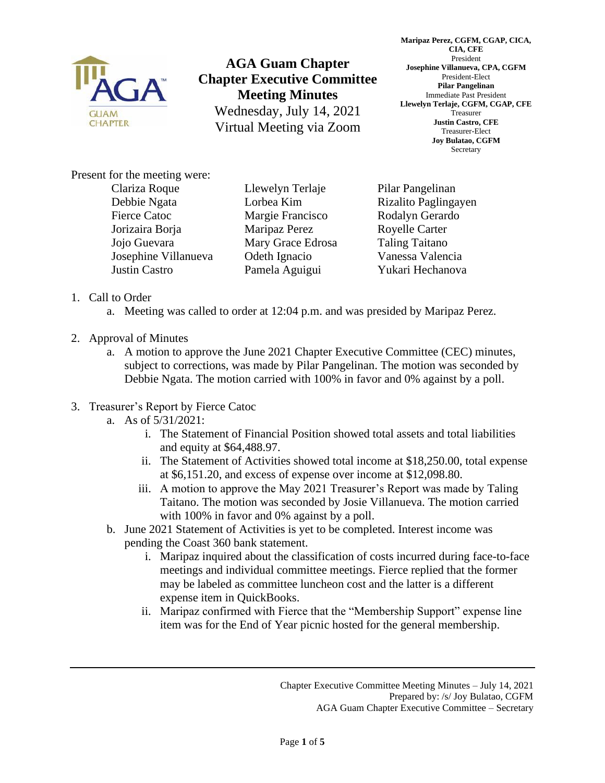

**AGA Guam Chapter Chapter Executive Committee Meeting Minutes** Wednesday, July 14, 2021 Virtual Meeting via Zoom

**Maripaz Perez, CGFM, CGAP, CICA, CIA, CFE** President **Josephine Villanueva, CPA, CGFM** President-Elect **Pilar Pangelinan** Immediate Past President **Llewelyn Terlaje, CGFM, CGAP, CFE** Treasurer **Justin Castro, CFE** Treasurer-Elect **Joy Bulatao, CGFM** Secretary

Present for the meeting were:

Clariza Roque Debbie Ngata Fierce Catoc Jorizaira Borja Jojo Guevara Josephine Villanueva Justin Castro

Llewelyn Terlaje Lorbea Kim Margie Francisco Maripaz Perez Mary Grace Edrosa Odeth Ignacio Pamela Aguigui

Pilar Pangelinan Rizalito Paglingayen Rodalyn Gerardo Royelle Carter Taling Taitano Vanessa Valencia Yukari Hechanova

- 1. Call to Order
	- a. Meeting was called to order at 12:04 p.m. and was presided by Maripaz Perez.
- 2. Approval of Minutes
	- a. A motion to approve the June 2021 Chapter Executive Committee (CEC) minutes, subject to corrections, was made by Pilar Pangelinan. The motion was seconded by Debbie Ngata. The motion carried with 100% in favor and 0% against by a poll.
- 3. Treasurer's Report by Fierce Catoc
	- a. As of 5/31/2021:
		- i. The Statement of Financial Position showed total assets and total liabilities and equity at \$64,488.97.
		- ii. The Statement of Activities showed total income at \$18,250.00, total expense at \$6,151.20, and excess of expense over income at \$12,098.80.
		- iii. A motion to approve the May 2021 Treasurer's Report was made by Taling Taitano. The motion was seconded by Josie Villanueva. The motion carried with 100% in favor and 0% against by a poll.
	- b. June 2021 Statement of Activities is yet to be completed. Interest income was pending the Coast 360 bank statement.
		- i. Maripaz inquired about the classification of costs incurred during face-to-face meetings and individual committee meetings. Fierce replied that the former may be labeled as committee luncheon cost and the latter is a different expense item in QuickBooks.
		- ii. Maripaz confirmed with Fierce that the "Membership Support" expense line item was for the End of Year picnic hosted for the general membership.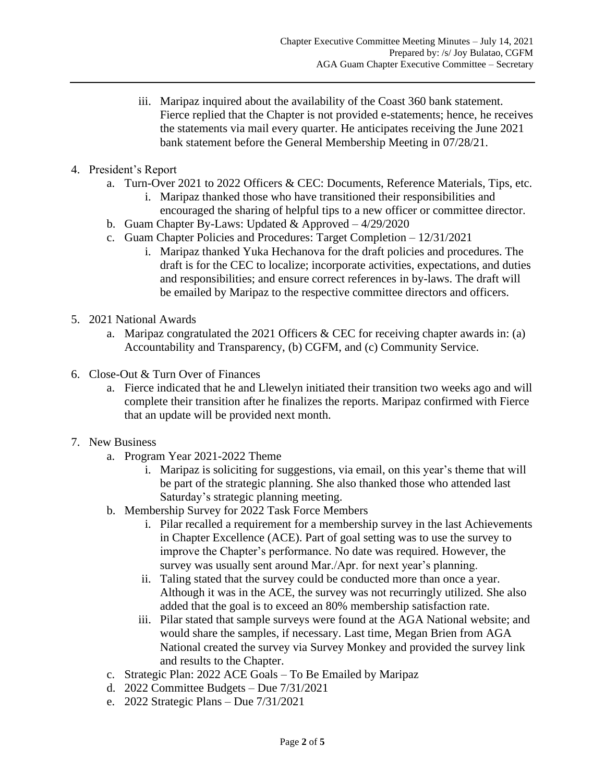- iii. Maripaz inquired about the availability of the Coast 360 bank statement. Fierce replied that the Chapter is not provided e-statements; hence, he receives the statements via mail every quarter. He anticipates receiving the June 2021 bank statement before the General Membership Meeting in 07/28/21.
- 4. President's Report
	- a. Turn-Over 2021 to 2022 Officers & CEC: Documents, Reference Materials, Tips, etc.
		- i. Maripaz thanked those who have transitioned their responsibilities and encouraged the sharing of helpful tips to a new officer or committee director.
	- b. Guam Chapter By-Laws: Updated  $&$  Approved  $-4/29/2020$
	- c. Guam Chapter Policies and Procedures: Target Completion 12/31/2021
		- i. Maripaz thanked Yuka Hechanova for the draft policies and procedures. The draft is for the CEC to localize; incorporate activities, expectations, and duties and responsibilities; and ensure correct references in by-laws. The draft will be emailed by Maripaz to the respective committee directors and officers.
- 5. 2021 National Awards
	- a. Maripaz congratulated the 2021 Officers & CEC for receiving chapter awards in: (a) Accountability and Transparency, (b) CGFM, and (c) Community Service.
- 6. Close-Out & Turn Over of Finances
	- a. Fierce indicated that he and Llewelyn initiated their transition two weeks ago and will complete their transition after he finalizes the reports. Maripaz confirmed with Fierce that an update will be provided next month.
- 7. New Business
	- a. Program Year 2021-2022 Theme
		- i. Maripaz is soliciting for suggestions, via email, on this year's theme that will be part of the strategic planning. She also thanked those who attended last Saturday's strategic planning meeting.
	- b. Membership Survey for 2022 Task Force Members
		- i. Pilar recalled a requirement for a membership survey in the last Achievements in Chapter Excellence (ACE). Part of goal setting was to use the survey to improve the Chapter's performance. No date was required. However, the survey was usually sent around Mar./Apr. for next year's planning.
		- ii. Taling stated that the survey could be conducted more than once a year. Although it was in the ACE, the survey was not recurringly utilized. She also added that the goal is to exceed an 80% membership satisfaction rate.
		- iii. Pilar stated that sample surveys were found at the AGA National website; and would share the samples, if necessary. Last time, Megan Brien from AGA National created the survey via Survey Monkey and provided the survey link and results to the Chapter.
	- c. Strategic Plan: 2022 ACE Goals To Be Emailed by Maripaz
	- d. 2022 Committee Budgets Due 7/31/2021
	- e. 2022 Strategic Plans Due 7/31/2021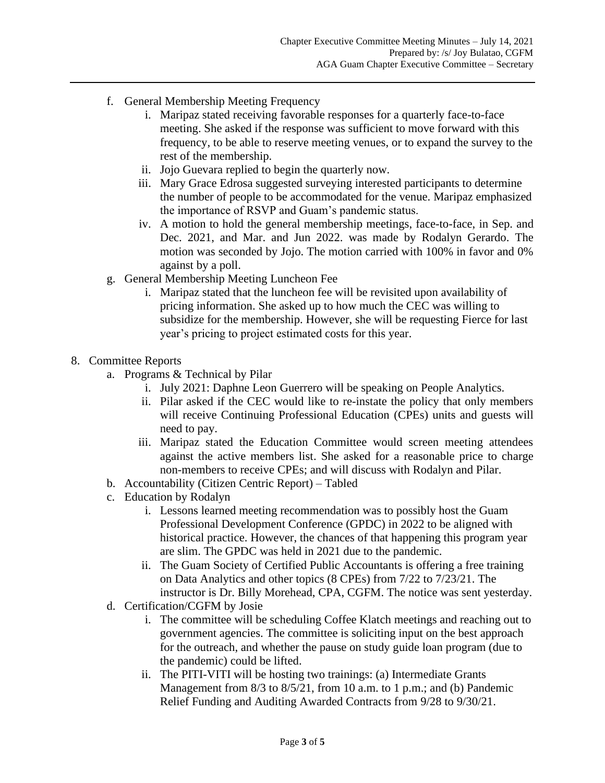- f. General Membership Meeting Frequency
	- i. Maripaz stated receiving favorable responses for a quarterly face-to-face meeting. She asked if the response was sufficient to move forward with this frequency, to be able to reserve meeting venues, or to expand the survey to the rest of the membership.
	- ii. Jojo Guevara replied to begin the quarterly now.
	- iii. Mary Grace Edrosa suggested surveying interested participants to determine the number of people to be accommodated for the venue. Maripaz emphasized the importance of RSVP and Guam's pandemic status.
	- iv. A motion to hold the general membership meetings, face-to-face, in Sep. and Dec. 2021, and Mar. and Jun 2022. was made by Rodalyn Gerardo. The motion was seconded by Jojo. The motion carried with 100% in favor and 0% against by a poll.
- g. General Membership Meeting Luncheon Fee
	- i. Maripaz stated that the luncheon fee will be revisited upon availability of pricing information. She asked up to how much the CEC was willing to subsidize for the membership. However, she will be requesting Fierce for last year's pricing to project estimated costs for this year.

## 8. Committee Reports

- a. Programs & Technical by Pilar
	- i. July 2021: Daphne Leon Guerrero will be speaking on People Analytics.
	- ii. Pilar asked if the CEC would like to re-instate the policy that only members will receive Continuing Professional Education (CPEs) units and guests will need to pay.
	- iii. Maripaz stated the Education Committee would screen meeting attendees against the active members list. She asked for a reasonable price to charge non-members to receive CPEs; and will discuss with Rodalyn and Pilar.
- b. Accountability (Citizen Centric Report) Tabled
- c. Education by Rodalyn
	- i. Lessons learned meeting recommendation was to possibly host the Guam Professional Development Conference (GPDC) in 2022 to be aligned with historical practice. However, the chances of that happening this program year are slim. The GPDC was held in 2021 due to the pandemic.
	- ii. The Guam Society of Certified Public Accountants is offering a free training on Data Analytics and other topics (8 CPEs) from 7/22 to 7/23/21. The instructor is Dr. Billy Morehead, CPA, CGFM. The notice was sent yesterday.
- d. Certification/CGFM by Josie
	- i. The committee will be scheduling Coffee Klatch meetings and reaching out to government agencies. The committee is soliciting input on the best approach for the outreach, and whether the pause on study guide loan program (due to the pandemic) could be lifted.
	- ii. The PITI-VITI will be hosting two trainings: (a) Intermediate Grants Management from 8/3 to 8/5/21, from 10 a.m. to 1 p.m.; and (b) Pandemic Relief Funding and Auditing Awarded Contracts from 9/28 to 9/30/21.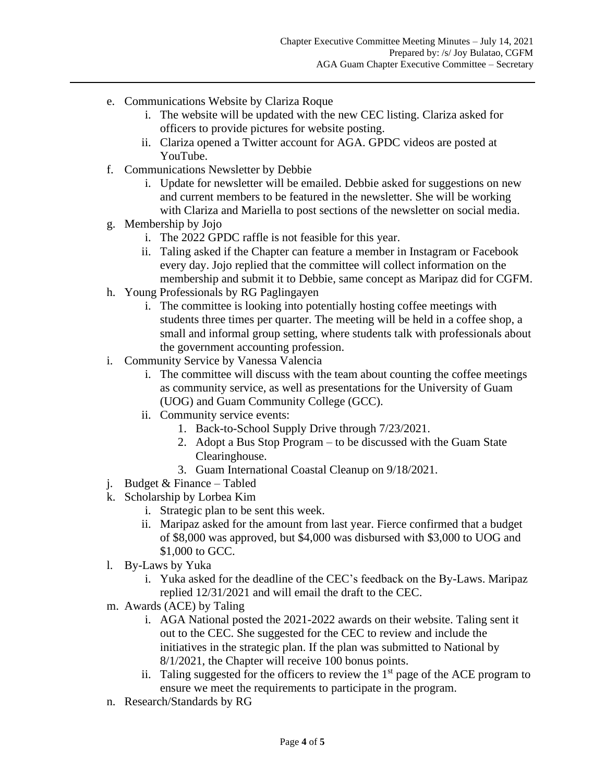- e. Communications Website by Clariza Roque
	- i. The website will be updated with the new CEC listing. Clariza asked for officers to provide pictures for website posting.
	- ii. Clariza opened a Twitter account for AGA. GPDC videos are posted at YouTube.
- f. Communications Newsletter by Debbie
	- i. Update for newsletter will be emailed. Debbie asked for suggestions on new and current members to be featured in the newsletter. She will be working with Clariza and Mariella to post sections of the newsletter on social media.
- g. Membership by Jojo
	- i. The 2022 GPDC raffle is not feasible for this year.
	- ii. Taling asked if the Chapter can feature a member in Instagram or Facebook every day. Jojo replied that the committee will collect information on the membership and submit it to Debbie, same concept as Maripaz did for CGFM.
- h. Young Professionals by RG Paglingayen
	- i. The committee is looking into potentially hosting coffee meetings with students three times per quarter. The meeting will be held in a coffee shop, a small and informal group setting, where students talk with professionals about the government accounting profession.
- i. Community Service by Vanessa Valencia
	- i. The committee will discuss with the team about counting the coffee meetings as community service, as well as presentations for the University of Guam (UOG) and Guam Community College (GCC).
	- ii. Community service events:
		- 1. Back-to-School Supply Drive through 7/23/2021.
		- 2. Adopt a Bus Stop Program to be discussed with the Guam State Clearinghouse.
		- 3. Guam International Coastal Cleanup on 9/18/2021.
- j. Budget & Finance Tabled
- k. Scholarship by Lorbea Kim
	- i. Strategic plan to be sent this week.
	- ii. Maripaz asked for the amount from last year. Fierce confirmed that a budget of \$8,000 was approved, but \$4,000 was disbursed with \$3,000 to UOG and \$1,000 to GCC.
- l. By-Laws by Yuka
	- i. Yuka asked for the deadline of the CEC's feedback on the By-Laws. Maripaz replied 12/31/2021 and will email the draft to the CEC.
- m. Awards (ACE) by Taling
	- i. AGA National posted the 2021-2022 awards on their website. Taling sent it out to the CEC. She suggested for the CEC to review and include the initiatives in the strategic plan. If the plan was submitted to National by 8/1/2021, the Chapter will receive 100 bonus points.
	- ii. Taling suggested for the officers to review the  $1<sup>st</sup>$  page of the ACE program to ensure we meet the requirements to participate in the program.
- n. Research/Standards by RG